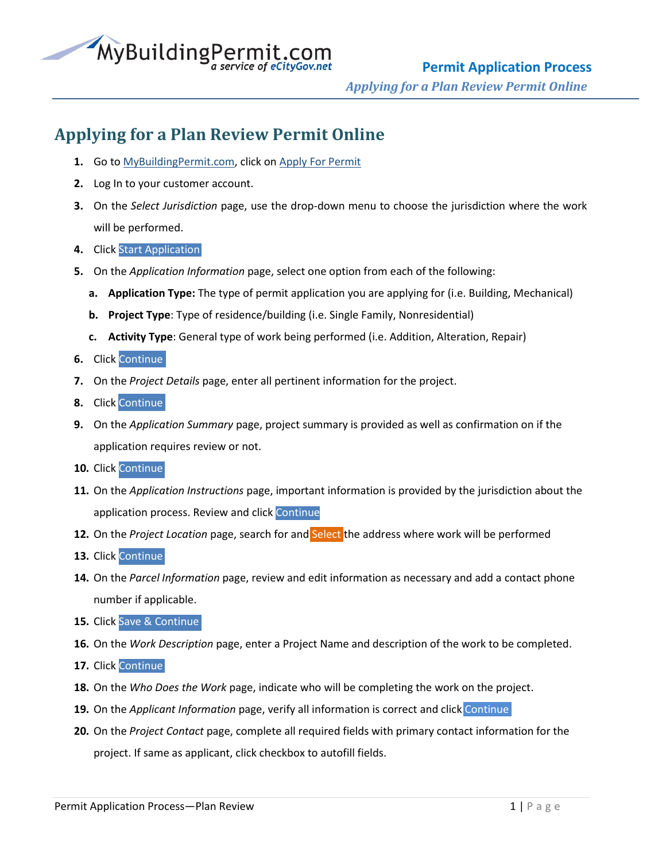

## **Applying for a Plan Review Permit Online**

- **1.** Go to [MyBuildingPermit.com,](https://mybuildingpermit.com/) click on [Apply For Permit](https://epermit.mybuildingpermit.com/Login?ReturnUrl=%2fDefault.aspx)
- **2.** Log In to your customer account.
- **3.** On the *Select Jurisdiction* page, use the drop-down menu to choose the jurisdiction where the work will be performed.
- **4.** Click Start Application
- **5.** On the *Application Information* page, select one option from each of the following:
	- **a. Application Type:** The type of permit application you are applying for (i.e. Building, Mechanical)
	- **b. Project Type**: Type of residence/building (i.e. Single Family, Nonresidential)
	- **c. Activity Type**: General type of work being performed (i.e. Addition, Alteration, Repair)
- **6.** Click Continue
- **7.** On the *Project Details* page, enter all pertinent information for the project.
- **8.** Click Continue
- **9.** On the *Application Summary* page, project summary is provided as well as confirmation on if the application requires review or not.
- **10.** Click Continue
- **11.** On the *Application Instructions* page, important information is provided by the jurisdiction about the application process. Review and click Continue
- **12.** On the *Project Location* page, search for and Select the address where work will be performed
- **13.** Click Continue
- **14.** On the *Parcel Information* page, review and edit information as necessary and add a contact phone number if applicable.
- **15.** Click Save & Continue
- **16.** On the *Work Description* page, enter a Project Name and description of the work to be completed.
- **17.** Click Continue
- **18.** On the *Who Does the Work* page, indicate who will be completing the work on the project.
- **19.** On the *Applicant Information* page, verify all information is correct and click Continue
- **20.** On the *Project Contact* page, complete all required fields with primary contact information for the project. If same as applicant, click checkbox to autofill fields.